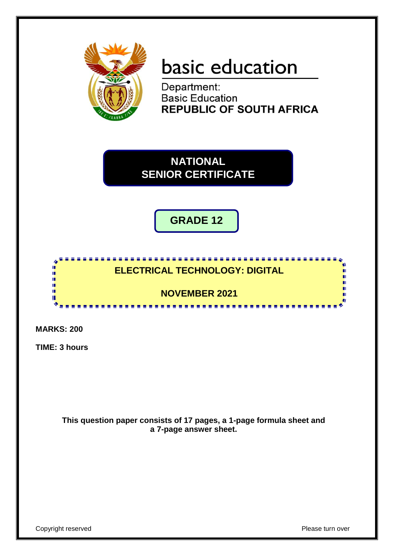

# basic education

Department: **Basic Education REPUBLIC OF SOUTH AFRICA** 

**NATIONAL SENIOR CERTIFICATE**

**GRADE 12**

# <u>.........................</u> **ELECTRICAL TECHNOLOGY: DIGITAL**

**NOVEMBER 2021**

........................

**MARKS: 200**

I. I. τ'n. T. ш

**TIME: 3 hours**

**This question paper consists of 17 pages, a 1-page formula sheet and a 7-page answer sheet.**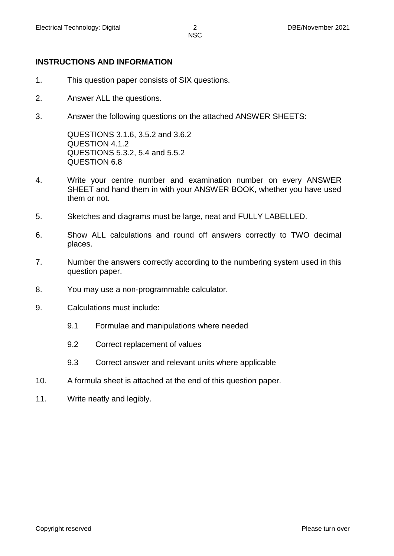# **INSTRUCTIONS AND INFORMATION**

- 1. This question paper consists of SIX questions.
- 2. Answer ALL the questions.
- 3. Answer the following questions on the attached ANSWER SHEETS:

QUESTIONS 3.1.6, 3.5.2 and 3.6.2 QUESTION 4.1.2 QUESTIONS 5.3.2, 5.4 and 5.5.2 QUESTION 6.8

- 4. Write your centre number and examination number on every ANSWER SHEET and hand them in with your ANSWER BOOK, whether you have used them or not.
- 5. Sketches and diagrams must be large, neat and FULLY LABELLED.
- 6. Show ALL calculations and round off answers correctly to TWO decimal places.
- 7. Number the answers correctly according to the numbering system used in this question paper.
- 8. You may use a non-programmable calculator.
- 9. Calculations must include:
	- 9.1 Formulae and manipulations where needed
	- 9.2 Correct replacement of values
	- 9.3 Correct answer and relevant units where applicable
- 10. A formula sheet is attached at the end of this question paper.
- 11. Write neatly and legibly.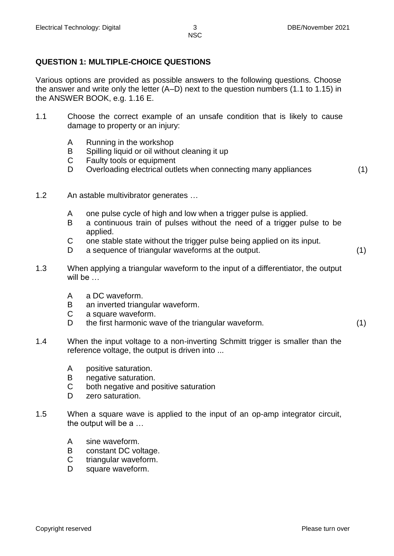# **QUESTION 1: MULTIPLE-CHOICE QUESTIONS**

Various options are provided as possible answers to the following questions. Choose the answer and write only the letter (A–D) next to the question numbers (1.1 to 1.15) in the ANSWER BOOK, e.g. 1.16 E.

- 1.1 Choose the correct example of an unsafe condition that is likely to cause damage to property or an injury:
	- A Running in the workshop
	- B Spilling liquid or oil without cleaning it up
	- C Faulty tools or equipment
	- D Overloading electrical outlets when connecting many appliances (1)
		-

- 1.2 An astable multivibrator generates …
	- A one pulse cycle of high and low when a trigger pulse is applied.
	- B a continuous train of pulses without the need of a trigger pulse to be applied.
	- C one stable state without the trigger pulse being applied on its input.
	- D a sequence of triangular waveforms at the output. (1)
- 1.3 When applying a triangular waveform to the input of a differentiator, the output will be …
	- A a DC waveform.
	- B an inverted triangular waveform.
	- C a square waveform.
	- D the first harmonic wave of the triangular waveform. (1)
- 1.4 When the input voltage to a non-inverting Schmitt trigger is smaller than the reference voltage, the output is driven into ...
	- A positive saturation.
	- B negative saturation.
	- C both negative and positive saturation
	- D zero saturation.
- 1.5 When a square wave is applied to the input of an op-amp integrator circuit, the output will be a …
	- A sine waveform.
	- B constant DC voltage.
	- C triangular waveform.
	- D square waveform.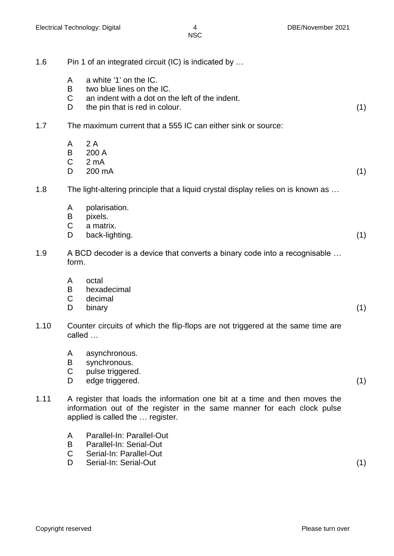- 1.6 Pin 1 of an integrated circuit (IC) is indicated by …
	- A a white '1' on the IC.
	- B two blue lines on the IC.
	- C an indent with a dot on the left of the indent.
	- D the pin that is red in colour. (1)
- 1.7 The maximum current that a 555 IC can either sink or source:
	- A 2 A
	- B 200 A
	- $C<sub>2</sub>mA$
	- $D = 200 \text{ mA}$  (1)
- 1.8 The light-altering principle that a liquid crystal display relies on is known as …
	- A polarisation.
	- B pixels.
	- C a matrix.
	- D back-lighting. (1)
- 1.9 A BCD decoder is a device that converts a binary code into a recognisable … form.
	- A octal
	- B hexadecimal
	- C decimal
	- D binary (1)
- 1.10 Counter circuits of which the flip-flops are not triggered at the same time are called …
	- A asynchronous.
	- B synchronous.
	- C pulse triggered.
	- D edge triggered. (1)
- 1.11 A register that loads the information one bit at a time and then moves the information out of the register in the same manner for each clock pulse applied is called the … register.
	- A Parallel-In: Parallel-Out
	- B Parallel-In: Serial-Out
	- C Serial-In: Parallel-Out
	- D Serial-In: Serial-Out (1)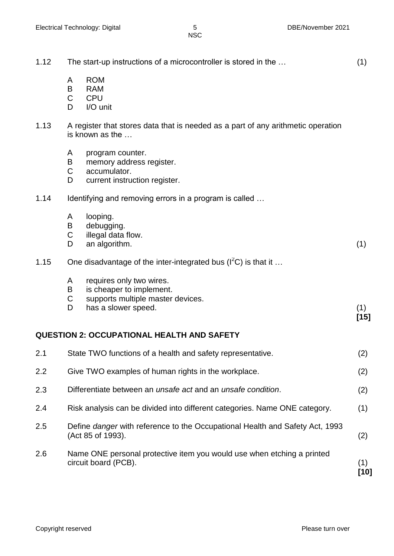| 1.12 |                             | The start-up instructions of a microcontroller is stored in the                                                  | (1)           |
|------|-----------------------------|------------------------------------------------------------------------------------------------------------------|---------------|
|      | A<br>B<br>$\mathsf C$<br>D  | <b>ROM</b><br><b>RAM</b><br><b>CPU</b><br>I/O unit                                                               |               |
| 1.13 |                             | A register that stores data that is needed as a part of any arithmetic operation<br>is known as the              |               |
|      | A<br>B<br>$\mathsf{C}$<br>D | program counter.<br>memory address register.<br>accumulator.<br>current instruction register.                    |               |
| 1.14 |                             | Identifying and removing errors in a program is called                                                           |               |
|      | A<br>B<br>$\mathsf C$<br>D  | looping.<br>debugging.<br>illegal data flow.<br>an algorithm.                                                    | (1)           |
| 1.15 |                             | One disadvantage of the inter-integrated bus $(I2C)$ is that it                                                  |               |
|      | A<br>B<br>C<br>D            | requires only two wires.<br>is cheaper to implement.<br>supports multiple master devices.<br>has a slower speed. | (1)<br>$[15]$ |
|      |                             | <b>QUESTION 2: OCCUPATIONAL HEALTH AND SAFETY</b>                                                                |               |
| 2.1  |                             | State TWO functions of a health and safety representative.                                                       | (2)           |
| 2.2  |                             | Give TWO examples of human rights in the workplace.                                                              | (2)           |
| 2.3  |                             | Differentiate between an <i>unsafe act</i> and an <i>unsafe condition</i> .                                      | (2)           |
| 2.4  |                             | Risk analysis can be divided into different categories. Name ONE category.                                       | (1)           |
| 2.5  |                             | Define danger with reference to the Occupational Health and Safety Act, 1993<br>(Act 85 of 1993).                | (2)           |
| 2.6  |                             | Name ONE personal protective item you would use when etching a printed<br>circuit board (PCB).                   | (1)<br>[10]   |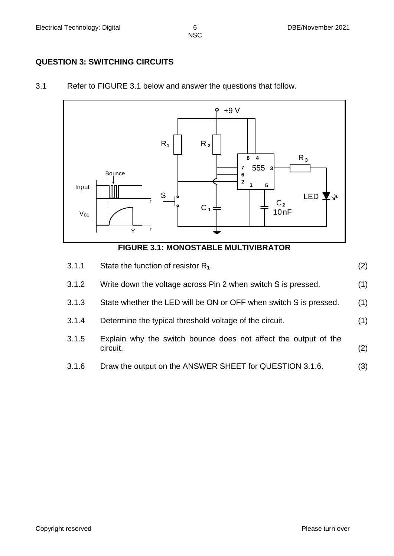# **QUESTION 3: SWITCHING CIRCUITS**

3.1 Refer to FIGURE 3.1 below and answer the questions that follow.





| 3.1.1 | State the function of resistor $R_1$ .                                      | (2) |
|-------|-----------------------------------------------------------------------------|-----|
| 3.1.2 | Write down the voltage across Pin 2 when switch S is pressed.               | (1) |
| 3.1.3 | State whether the LED will be ON or OFF when switch S is pressed.           | (1) |
| 3.1.4 | Determine the typical threshold voltage of the circuit.                     | (1) |
| 3.1.5 | Explain why the switch bounce does not affect the output of the<br>circuit. | (2) |
| 3.1.6 | Draw the output on the ANSWER SHEET for QUESTION 3.1.6.                     | (3) |
|       |                                                                             |     |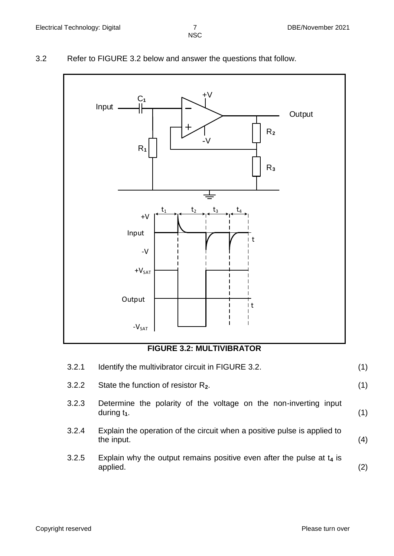3.2 Refer to FIGURE 3.2 below and answer the questions that follow.



# **FIGURE 3.2: MULTIVIBRATOR**

| 3.2.1 | Identify the multivibrator circuit in FIGURE 3.2.                                      | (1) |
|-------|----------------------------------------------------------------------------------------|-----|
| 3.2.2 | State the function of resistor $R_2$ .                                                 | (1) |
| 3.2.3 | Determine the polarity of the voltage on the non-inverting input<br>during $t_1$ .     | (1) |
| 3.2.4 | Explain the operation of the circuit when a positive pulse is applied to<br>the input. | (4) |
| 3.2.5 | Explain why the output remains positive even after the pulse at $t_4$ is<br>applied.   | (2) |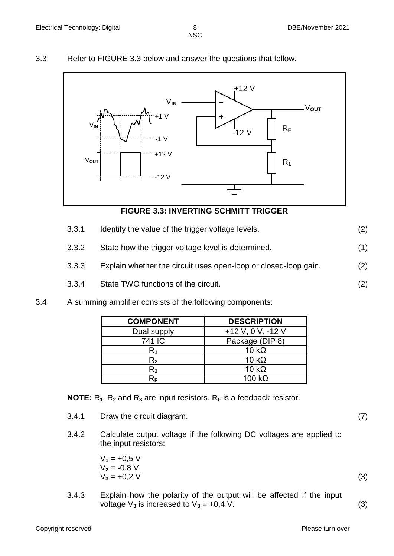# 3.3 Refer to FIGURE 3.3 below and answer the questions that follow.



# **FIGURE 3.3: INVERTING SCHMITT TRIGGER**

- 3.3.1 Identify the value of the trigger voltage levels. (2)
- 3.3.2 State how the trigger voltage level is determined. (1)
- 3.3.3 Explain whether the circuit uses open-loop or closed-loop gain. (2)
- 3.3.4 State TWO functions of the circuit. (2)
- 3.4 A summing amplifier consists of the following components:

| <b>COMPONENT</b> | <b>DESCRIPTION</b>  |
|------------------|---------------------|
| Dual supply      | $+12$ V, 0 V, -12 V |
| 741 IC           | Package (DIP 8)     |
| K1               | 10 $k\Omega$        |
| R,               | 10 $k\Omega$        |
| R3               | 10 $k\Omega$        |
|                  | 100 k $\Omega$      |

**NOTE:** R**1**, R**<sup>2</sup>** and R**<sup>3</sup>** are input resistors. R**<sup>F</sup>** is a feedback resistor.

- 3.4.1 Draw the circuit diagram. (7)
- 3.4.2 Calculate output voltage if the following DC voltages are applied to the input resistors:

| $V_1 = +0.5 V$ |     |
|----------------|-----|
| $V_2 = -0.8 V$ |     |
| $V_3 = +0.2 V$ | (3) |

3.4.3 Explain how the polarity of the output will be affected if the input voltage  $V_3$  is increased to  $V_3 = +0.4$  V. (3)

Copyright reserved **Please turn over the Copyright reserved** Please turn over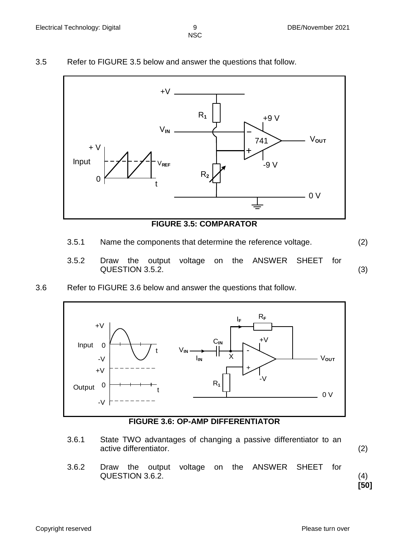3.5 Refer to FIGURE 3.5 below and answer the questions that follow.



# **FIGURE 3.5: COMPARATOR**

- 3.5.1 Name the components that determine the reference voltage. (2)
	-
- 3.5.2 Draw the output voltage on the ANSWER SHEET for QUESTION 3.5.2. (3)
- 3.6 Refer to FIGURE 3.6 below and answer the questions that follow.



**FIGURE 3.6: OP-AMP DIFFERENTIATOR**

- 3.6.1 State TWO advantages of changing a passive differentiator to an active differentiator. (2)
	-
- 3.6.2 Draw the output voltage on the ANSWER SHEET for QUESTION 3.6.2. (4)

**[50]**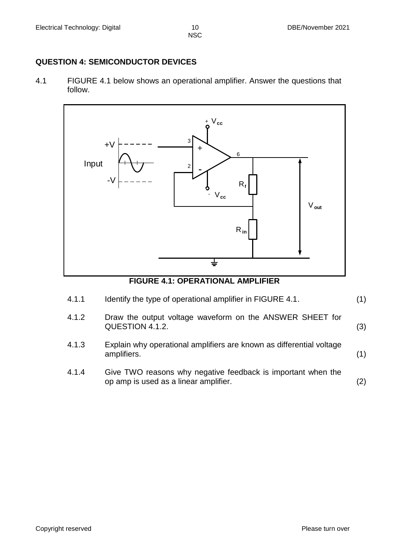# **QUESTION 4: SEMICONDUCTOR DEVICES**

4.1 FIGURE 4.1 below shows an operational amplifier. Answer the questions that follow.



# **FIGURE 4.1: OPERATIONAL AMPLIFIER**

- 4.1.1 Identify the type of operational amplifier in FIGURE 4.1. (1) 4.1.2 Draw the output voltage waveform on the ANSWER SHEET for QUESTION 4.1.2. (3)
- 4.1.3 Explain why operational amplifiers are known as differential voltage amplifiers. (1)
- 4.1.4 Give TWO reasons why negative feedback is important when the op amp is used as a linear amplifier. (2)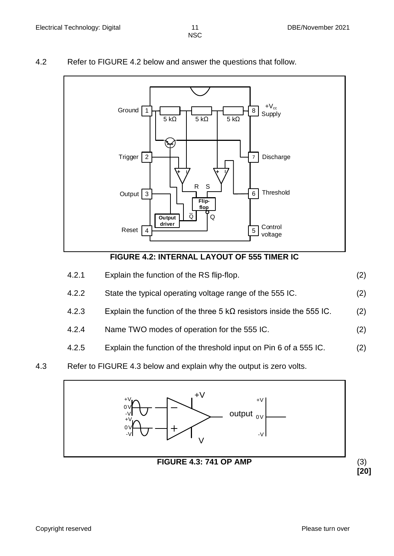# 4.2 Refer to FIGURE 4.2 below and answer the questions that follow.



## **FIGURE 4.2: INTERNAL LAYOUT OF 555 TIMER IC**

| 4.2.1 | Explain the function of the RS flip-flop.                                  | (2) |
|-------|----------------------------------------------------------------------------|-----|
| 4.2.2 | State the typical operating voltage range of the 555 IC.                   | (2) |
| 4.2.3 | Explain the function of the three $5 k\Omega$ resistors inside the 555 IC. | (2) |
| 4.2.4 | Name TWO modes of operation for the 555 IC.                                |     |

4.2.5 Explain the function of the threshold input on Pin 6 of a 555 IC. (2)

# 4.3 Refer to FIGURE 4.3 below and explain why the output is zero volts.

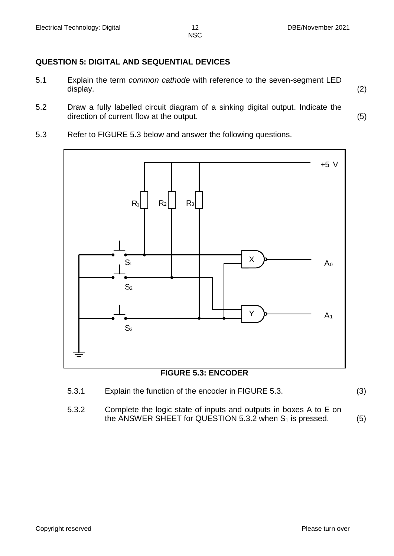# **QUESTION 5: DIGITAL AND SEQUENTIAL DEVICES**

- 5.1 Explain the term *common cathode* with reference to the seven-segment LED display. (2)
- 5.2 Draw a fully labelled circuit diagram of a sinking digital output. Indicate the direction of current flow at the output. (5)
- 5.3 Refer to FIGURE 5.3 below and answer the following questions.



# **FIGURE 5.3: ENCODER**

- 5.3.1 Explain the function of the encoder in FIGURE 5.3. (3)
- 5.3.2 Complete the logic state of inputs and outputs in boxes A to E on the ANSWER SHEET for QUESTION 5.3.2 when  $S_1$  is pressed. (5)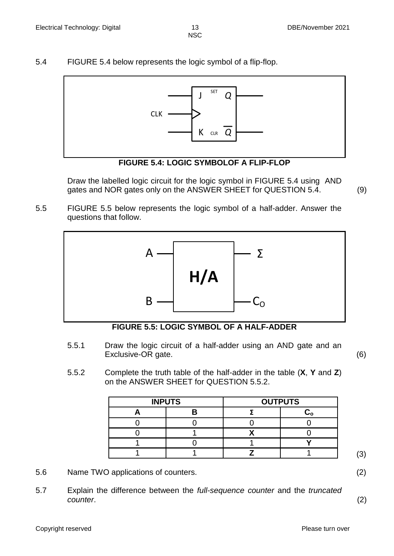5.4 FIGURE 5.4 below represents the logic symbol of a flip-flop.





Draw the labelled logic circuit for the logic symbol in FIGURE 5.4 using AND gates and NOR gates only on the ANSWER SHEET for QUESTION 5.4. (9)

5.5 FIGURE 5.5 below represents the logic symbol of a half-adder. Answer the questions that follow.



**FIGURE 5.5: LOGIC SYMBOL OF A HALF-ADDER**

5.5.1 Draw the logic circuit of a half-adder using an AND gate and an Exclusive-OR gate. (6)

5.5.2 Complete the truth table of the half-adder in the table (**X**, **Y** and **Z**) on the ANSWER SHEET for QUESTION 5.5.2.

| <b>INPUTS</b> | <b>OUTPUTS</b> |  |  |
|---------------|----------------|--|--|
|               |                |  |  |
|               |                |  |  |
|               |                |  |  |
|               |                |  |  |
|               |                |  |  |

- 5.6 Name TWO applications of counters. (2)
- 5.7 Explain the difference between the *full-sequence counter* and the *truncated counter*. (2)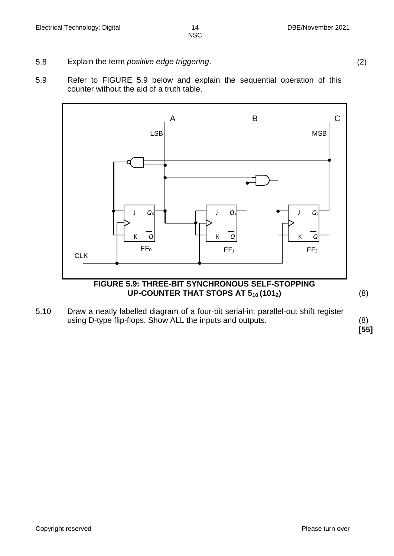- 5.8 Explain the term *positive edge triggering*. (2)
- 5.9 Refer to FIGURE 5.9 below and explain the sequential operation of this counter without the aid of a truth table.



5.10 Draw a neatly labelled diagram of a four-bit serial-in: parallel-out shift register using D-type flip-flops. Show ALL the inputs and outputs. (8)

**[55]**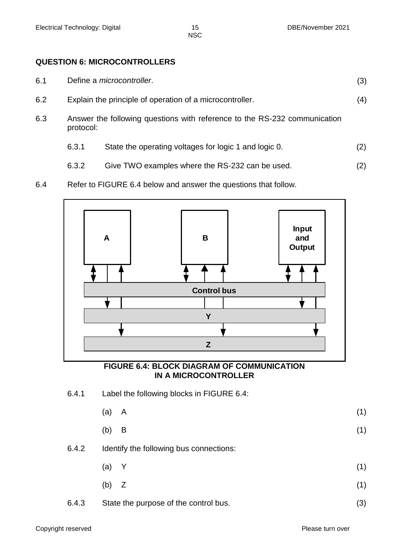# **QUESTION 6: MICROCONTROLLERS**

- 6.1 Define a *microcontroller*. (3)
- 6.2 Explain the principle of operation of a microcontroller. (4)
- 6.3 Answer the following questions with reference to the RS-232 communication protocol:
	- 6.3.1 State the operating voltages for logic 1 and logic 0. (2)
	- 6.3.2 Give TWO examples where the RS-232 can be used. (2)
- 6.4 Refer to FIGURE 6.4 below and answer the questions that follow.



#### **FIGURE 6.4: BLOCK DIAGRAM OF COMMUNICATION IN A MICROCONTROLLER**

6.4.1 Label the following blocks in FIGURE 6.4:

| (a) A   | (1) |
|---------|-----|
| $(b)$ B | (1) |

# 6.4.2 Identify the following bus connections:

- (a) Y (1)
- (b)  $Z$  (1)
- 6.4.3 State the purpose of the control bus. (3)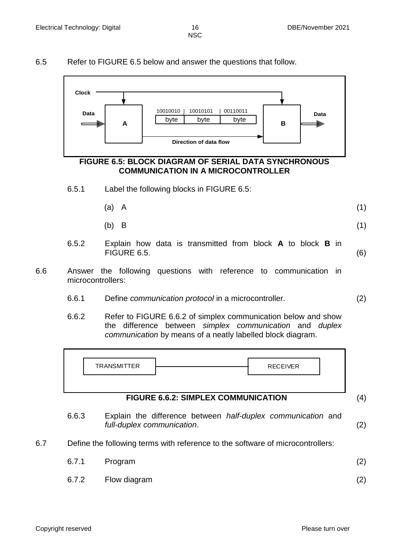# 6.5 Refer to FIGURE 6.5 below and answer the questions that follow.



#### **FIGURE 6.5: BLOCK DIAGRAM OF SERIAL DATA SYNCHRONOUS COMMUNICATION IN A MICROCONTROLLER**

- 6.5.1 Label the following blocks in FIGURE 6.5:
	- (a) A (1)
	- (b) B  $(1)$
- 6.5.2 Explain how data is transmitted from block **A** to block **B** in FIGURE 6.5. (6)
- 6.6 Answer the following questions with reference to communication in microcontrollers:
	- 6.6.1 Define *communication protocol* in a microcontroller. (2)
	- 6.6.2 Refer to FIGURE 6.6.2 of simplex communication below and show the difference between *simplex communication* and *duplex communication* by means of a neatly labelled block diagram.



## **FIGURE 6.6.2: SIMPLEX COMMUNICATION** (4)

- 6.6.3 Explain the difference between *half-duplex communication* and *full-duplex communication*. (2)
- 6.7 Define the following terms with reference to the software of microcontrollers:

| 6.7.1 Program      | (2) |
|--------------------|-----|
| 6.7.2 Flow diagram |     |

Copyright reserved **Please turn over the Copyright reserved** Please turn over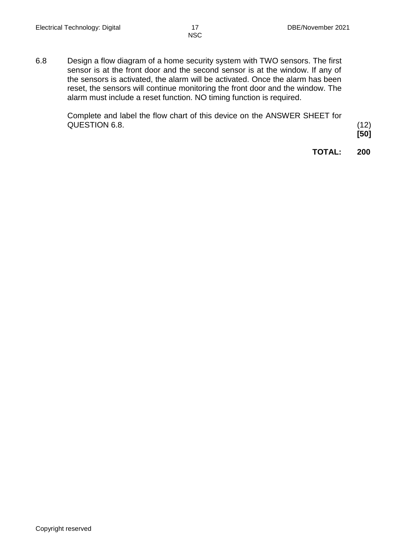6.8 Design a flow diagram of a home security system with TWO sensors. The first sensor is at the front door and the second sensor is at the window. If any of the sensors is activated, the alarm will be activated. Once the alarm has been reset, the sensors will continue monitoring the front door and the window. The alarm must include a reset function. NO timing function is required.

> Complete and label the flow chart of this device on the ANSWER SHEET for QUESTION 6.8. (12)

**[50]**

**TOTAL: 200**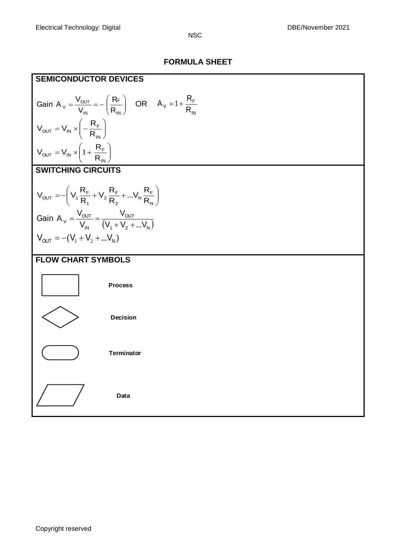# **FORMULA SHEET**

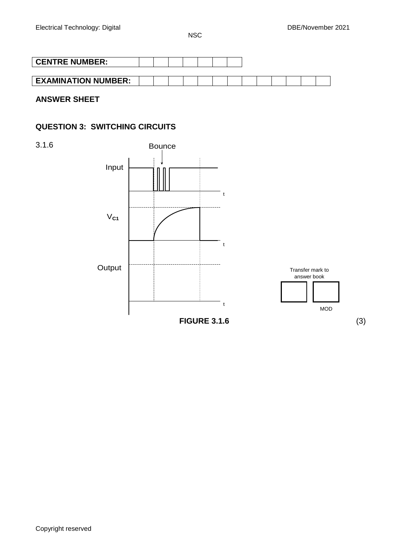| <b>CENTRE NUMBER:</b>      |  |  |  |  |  |  |  |
|----------------------------|--|--|--|--|--|--|--|
|                            |  |  |  |  |  |  |  |
| <b>EXAMINATION NUMBER:</b> |  |  |  |  |  |  |  |

**ANSWER SHEET** 

# **QUESTION 3: SWITCHING CIRCUITS**

3.1.6

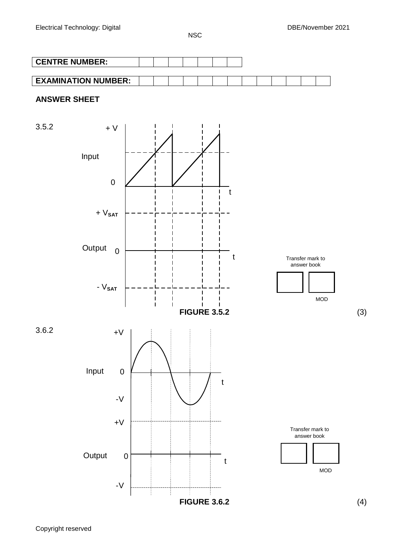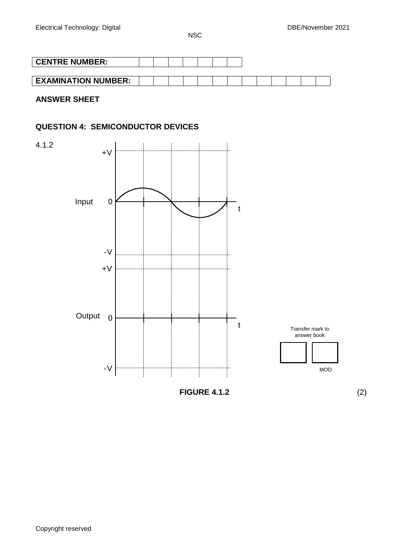| <b>CENTRE NUMBER:</b>      |  |  |  |  |  |  |  |
|----------------------------|--|--|--|--|--|--|--|
|                            |  |  |  |  |  |  |  |
| <b>EXAMINATION NUMBER:</b> |  |  |  |  |  |  |  |

**ANSWER SHEET**

# **QUESTION 4: SEMICONDUCTOR DEVICES**

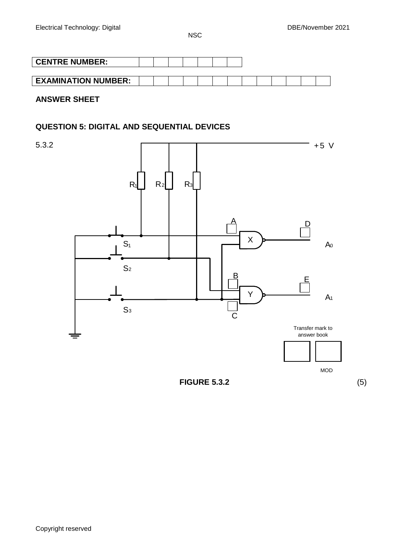| <b>CENTRE NUMBER:</b>      |  |  |  |  |  |  |  |
|----------------------------|--|--|--|--|--|--|--|
|                            |  |  |  |  |  |  |  |
| <b>EXAMINATION NUMBER:</b> |  |  |  |  |  |  |  |

**ANSWER SHEET** 

# **QUESTION 5: DIGITAL AND SEQUENTIAL DEVICES**

5.3.2

 $\mathsf{l}$ 



**FIGURE 5.3.2** (5)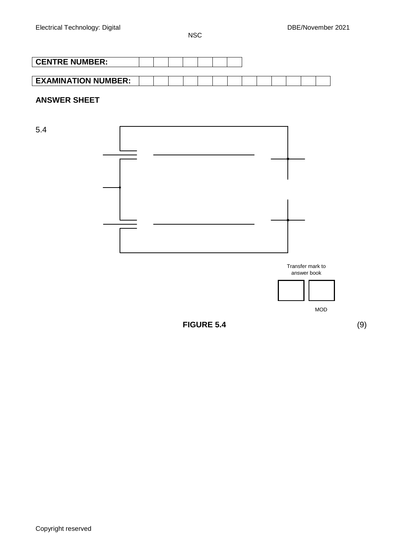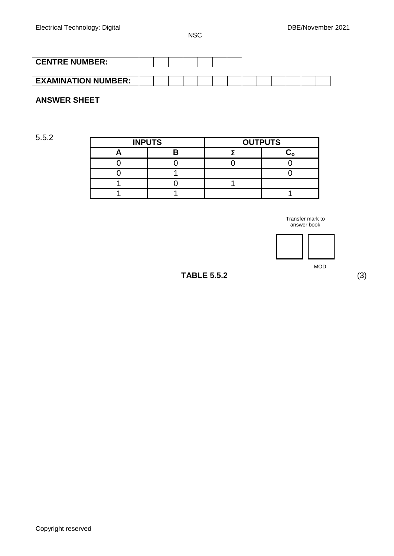| <b>CENTRE NUMBER:</b>      |  |  |  |  |  |  |  |
|----------------------------|--|--|--|--|--|--|--|
|                            |  |  |  |  |  |  |  |
| <b>EXAMINATION NUMBER:</b> |  |  |  |  |  |  |  |

# **ANSWER SHEET**

| 5.5.2 |               |                |  |  |  |  |  |  |
|-------|---------------|----------------|--|--|--|--|--|--|
|       | <b>INPUTS</b> | <b>OUTPUTS</b> |  |  |  |  |  |  |
|       |               |                |  |  |  |  |  |  |
|       |               |                |  |  |  |  |  |  |
|       |               |                |  |  |  |  |  |  |
|       |               |                |  |  |  |  |  |  |
|       |               |                |  |  |  |  |  |  |

Transfer mark to answer book



MOD

**TABLE 5.5.2** (3)